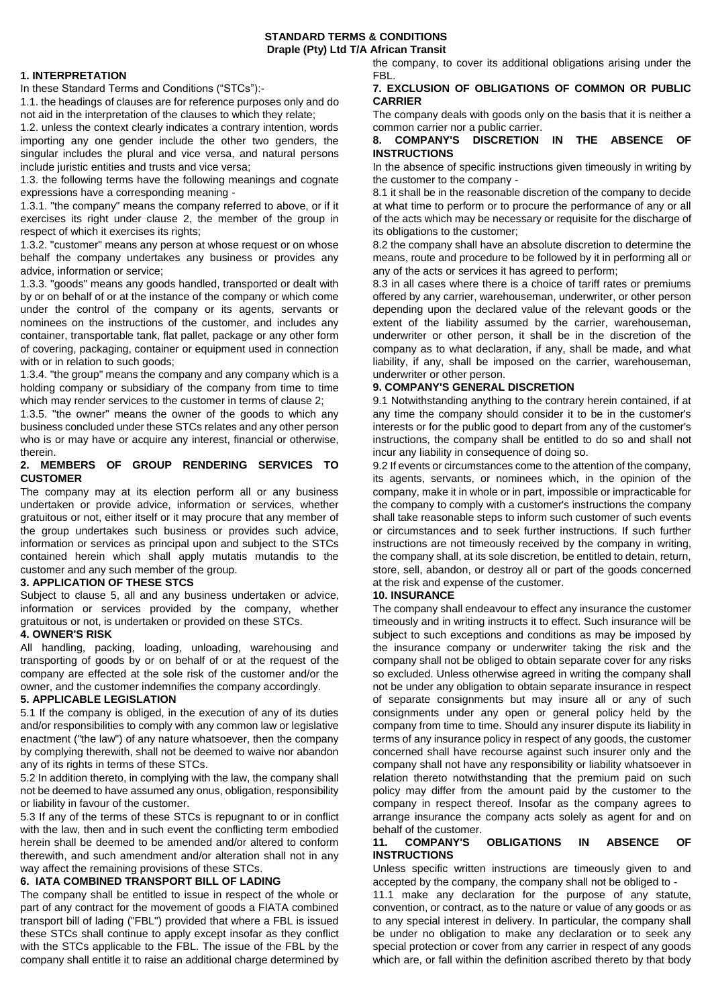## **STANDARD TERMS & CONDITIONS Draple (Pty) Ltd T/A African Transit**

## **1. INTERPRETATION**

In these Standard Terms and Conditions ("STCs"):-

1.1. the headings of clauses are for reference purposes only and do not aid in the interpretation of the clauses to which they relate;

1.2. unless the context clearly indicates a contrary intention, words importing any one gender include the other two genders, the singular includes the plural and vice versa, and natural persons include juristic entities and trusts and vice versa;

1.3. the following terms have the following meanings and cognate expressions have a corresponding meaning -

1.3.1. "the company" means the company referred to above, or if it exercises its right under clause 2, the member of the group in respect of which it exercises its rights;

1.3.2. "customer" means any person at whose request or on whose behalf the company undertakes any business or provides any advice, information or service;

1.3.3. "goods" means any goods handled, transported or dealt with by or on behalf of or at the instance of the company or which come under the control of the company or its agents, servants or nominees on the instructions of the customer, and includes any container, transportable tank, flat pallet, package or any other form of covering, packaging, container or equipment used in connection with or in relation to such goods;

1.3.4. "the group" means the company and any company which is a holding company or subsidiary of the company from time to time which may render services to the customer in terms of clause 2;

1.3.5. "the owner" means the owner of the goods to which any business concluded under these STCs relates and any other person who is or may have or acquire any interest, financial or otherwise, therein.

## **2. MEMBERS OF GROUP RENDERING SERVICES TO CUSTOMER**

The company may at its election perform all or any business undertaken or provide advice, information or services, whether gratuitous or not, either itself or it may procure that any member of the group undertakes such business or provides such advice, information or services as principal upon and subject to the STCs contained herein which shall apply mutatis mutandis to the customer and any such member of the group.

## **3. APPLICATION OF THESE STCS**

Subject to clause 5, all and any business undertaken or advice, information or services provided by the company, whether gratuitous or not, is undertaken or provided on these STCs.

## **4. OWNER'S RISK**

All handling, packing, loading, unloading, warehousing and transporting of goods by or on behalf of or at the request of the company are effected at the sole risk of the customer and/or the owner, and the customer indemnifies the company accordingly.

# **5. APPLICABLE LEGISLATION**

5.1 If the company is obliged, in the execution of any of its duties and/or responsibilities to comply with any common law or legislative enactment ("the law") of any nature whatsoever, then the company by complying therewith, shall not be deemed to waive nor abandon any of its rights in terms of these STCs.

5.2 In addition thereto, in complying with the law, the company shall not be deemed to have assumed any onus, obligation, responsibility or liability in favour of the customer.

5.3 If any of the terms of these STCs is repugnant to or in conflict with the law, then and in such event the conflicting term embodied herein shall be deemed to be amended and/or altered to conform therewith, and such amendment and/or alteration shall not in any way affect the remaining provisions of these STCs.

## **6. IATA COMBINED TRANSPORT BILL OF LADING**

The company shall be entitled to issue in respect of the whole or part of any contract for the movement of goods a FIATA combined transport bill of lading ("FBL") provided that where a FBL is issued these STCs shall continue to apply except insofar as they conflict with the STCs applicable to the FBL. The issue of the FBL by the company shall entitle it to raise an additional charge determined by the company, to cover its additional obligations arising under the FBL.

## **7. EXCLUSION OF OBLIGATIONS OF COMMON OR PUBLIC CARRIER**

The company deals with goods only on the basis that it is neither a common carrier nor a public carrier.

## **8. COMPANY'S DISCRETION IN THE ABSENCE OF INSTRUCTIONS**

In the absence of specific instructions given timeously in writing by the customer to the company -

8.1 it shall be in the reasonable discretion of the company to decide at what time to perform or to procure the performance of any or all of the acts which may be necessary or requisite for the discharge of its obligations to the customer;

8.2 the company shall have an absolute discretion to determine the means, route and procedure to be followed by it in performing all or any of the acts or services it has agreed to perform;

8.3 in all cases where there is a choice of tariff rates or premiums offered by any carrier, warehouseman, underwriter, or other person depending upon the declared value of the relevant goods or the extent of the liability assumed by the carrier, warehouseman, underwriter or other person, it shall be in the discretion of the company as to what declaration, if any, shall be made, and what liability, if any, shall be imposed on the carrier, warehouseman, underwriter or other person.

## **9. COMPANY'S GENERAL DISCRETION**

9.1 Notwithstanding anything to the contrary herein contained, if at any time the company should consider it to be in the customer's interests or for the public good to depart from any of the customer's instructions, the company shall be entitled to do so and shall not incur any liability in consequence of doing so.

9.2 If events or circumstances come to the attention of the company, its agents, servants, or nominees which, in the opinion of the company, make it in whole or in part, impossible or impracticable for the company to comply with a customer's instructions the company shall take reasonable steps to inform such customer of such events or circumstances and to seek further instructions. If such further instructions are not timeously received by the company in writing, the company shall, at its sole discretion, be entitled to detain, return, store, sell, abandon, or destroy all or part of the goods concerned at the risk and expense of the customer.

## **10. INSURANCE**

The company shall endeavour to effect any insurance the customer timeously and in writing instructs it to effect. Such insurance will be subject to such exceptions and conditions as may be imposed by the insurance company or underwriter taking the risk and the company shall not be obliged to obtain separate cover for any risks so excluded. Unless otherwise agreed in writing the company shall not be under any obligation to obtain separate insurance in respect of separate consignments but may insure all or any of such consignments under any open or general policy held by the company from time to time. Should any insurer dispute its liability in terms of any insurance policy in respect of any goods, the customer concerned shall have recourse against such insurer only and the company shall not have any responsibility or liability whatsoever in relation thereto notwithstanding that the premium paid on such policy may differ from the amount paid by the customer to the company in respect thereof. Insofar as the company agrees to arrange insurance the company acts solely as agent for and on behalf of the customer.

## **11. COMPANY'S OBLIGATIONS IN ABSENCE OF INSTRUCTIONS**

Unless specific written instructions are timeously given to and accepted by the company, the company shall not be obliged to -

11.1 make any declaration for the purpose of any statute, convention, or contract, as to the nature or value of any goods or as to any special interest in delivery. In particular, the company shall be under no obligation to make any declaration or to seek any special protection or cover from any carrier in respect of any goods which are, or fall within the definition ascribed thereto by that body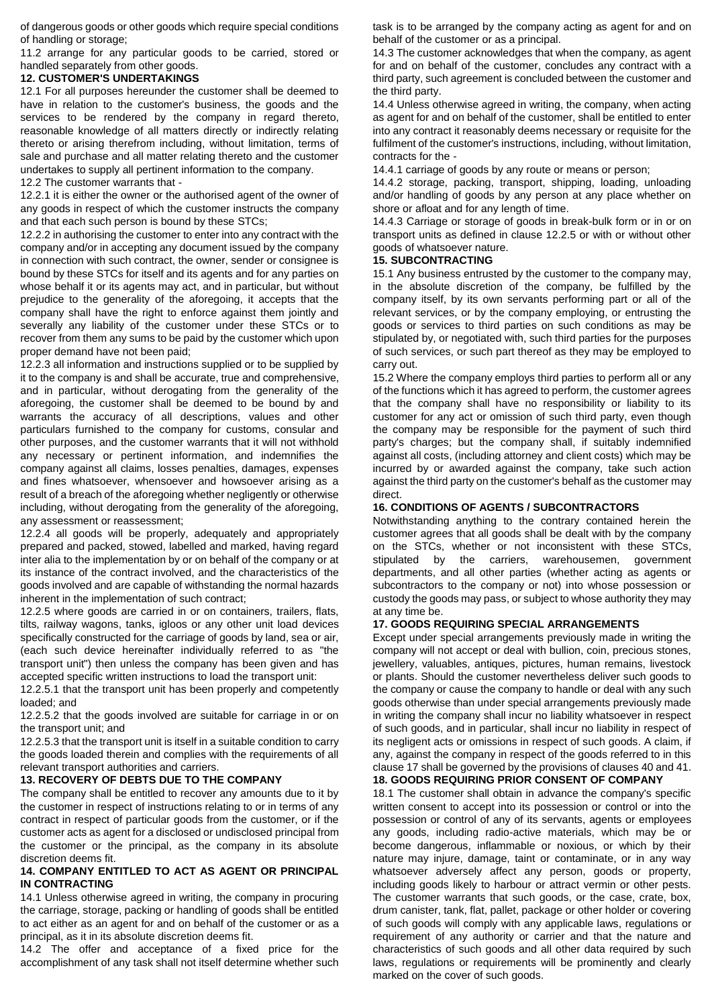of dangerous goods or other goods which require special conditions of handling or storage;

11.2 arrange for any particular goods to be carried, stored or handled separately from other goods.

## **12. CUSTOMER'S UNDERTAKINGS**

12.1 For all purposes hereunder the customer shall be deemed to have in relation to the customer's business, the goods and the services to be rendered by the company in regard thereto, reasonable knowledge of all matters directly or indirectly relating thereto or arising therefrom including, without limitation, terms of sale and purchase and all matter relating thereto and the customer undertakes to supply all pertinent information to the company.

12.2 The customer warrants that -

12.2.1 it is either the owner or the authorised agent of the owner of any goods in respect of which the customer instructs the company and that each such person is bound by these STCs;

12.2.2 in authorising the customer to enter into any contract with the company and/or in accepting any document issued by the company in connection with such contract, the owner, sender or consignee is bound by these STCs for itself and its agents and for any parties on whose behalf it or its agents may act, and in particular, but without prejudice to the generality of the aforegoing, it accepts that the company shall have the right to enforce against them jointly and severally any liability of the customer under these STCs or to recover from them any sums to be paid by the customer which upon proper demand have not been paid;

12.2.3 all information and instructions supplied or to be supplied by it to the company is and shall be accurate, true and comprehensive, and in particular, without derogating from the generality of the aforegoing, the customer shall be deemed to be bound by and warrants the accuracy of all descriptions, values and other particulars furnished to the company for customs, consular and other purposes, and the customer warrants that it will not withhold any necessary or pertinent information, and indemnifies the company against all claims, losses penalties, damages, expenses and fines whatsoever, whensoever and howsoever arising as a result of a breach of the aforegoing whether negligently or otherwise including, without derogating from the generality of the aforegoing, any assessment or reassessment;

12.2.4 all goods will be properly, adequately and appropriately prepared and packed, stowed, labelled and marked, having regard inter alia to the implementation by or on behalf of the company or at its instance of the contract involved, and the characteristics of the goods involved and are capable of withstanding the normal hazards inherent in the implementation of such contract;

12.2.5 where goods are carried in or on containers, trailers, flats, tilts, railway wagons, tanks, igloos or any other unit load devices specifically constructed for the carriage of goods by land, sea or air, (each such device hereinafter individually referred to as "the transport unit") then unless the company has been given and has accepted specific written instructions to load the transport unit:

12.2.5.1 that the transport unit has been properly and competently loaded; and

12.2.5.2 that the goods involved are suitable for carriage in or on the transport unit; and

12.2.5.3 that the transport unit is itself in a suitable condition to carry the goods loaded therein and complies with the requirements of all relevant transport authorities and carriers.

## **13. RECOVERY OF DEBTS DUE TO THE COMPANY**

The company shall be entitled to recover any amounts due to it by the customer in respect of instructions relating to or in terms of any contract in respect of particular goods from the customer, or if the customer acts as agent for a disclosed or undisclosed principal from the customer or the principal, as the company in its absolute discretion deems fit.

## **14. COMPANY ENTITLED TO ACT AS AGENT OR PRINCIPAL IN CONTRACTING**

14.1 Unless otherwise agreed in writing, the company in procuring the carriage, storage, packing or handling of goods shall be entitled to act either as an agent for and on behalf of the customer or as a principal, as it in its absolute discretion deems fit.

14.2 The offer and acceptance of a fixed price for the accomplishment of any task shall not itself determine whether such task is to be arranged by the company acting as agent for and on behalf of the customer or as a principal.

14.3 The customer acknowledges that when the company, as agent for and on behalf of the customer, concludes any contract with a third party, such agreement is concluded between the customer and the third party.

14.4 Unless otherwise agreed in writing, the company, when acting as agent for and on behalf of the customer, shall be entitled to enter into any contract it reasonably deems necessary or requisite for the fulfilment of the customer's instructions, including, without limitation, contracts for the -

14.4.1 carriage of goods by any route or means or person;

14.4.2 storage, packing, transport, shipping, loading, unloading and/or handling of goods by any person at any place whether on shore or afloat and for any length of time.

14.4.3 Carriage or storage of goods in break-bulk form or in or on transport units as defined in clause 12.2.5 or with or without other goods of whatsoever nature.

## **15. SUBCONTRACTING**

15.1 Any business entrusted by the customer to the company may, in the absolute discretion of the company, be fulfilled by the company itself, by its own servants performing part or all of the relevant services, or by the company employing, or entrusting the goods or services to third parties on such conditions as may be stipulated by, or negotiated with, such third parties for the purposes of such services, or such part thereof as they may be employed to carry out.

15.2 Where the company employs third parties to perform all or any of the functions which it has agreed to perform, the customer agrees that the company shall have no responsibility or liability to its customer for any act or omission of such third party, even though the company may be responsible for the payment of such third party's charges; but the company shall, if suitably indemnified against all costs, (including attorney and client costs) which may be incurred by or awarded against the company, take such action against the third party on the customer's behalf as the customer may direct.

## **16. CONDITIONS OF AGENTS / SUBCONTRACTORS**

Notwithstanding anything to the contrary contained herein the customer agrees that all goods shall be dealt with by the company on the STCs, whether or not inconsistent with these STCs, stipulated by the carriers, warehousemen, government departments, and all other parties (whether acting as agents or subcontractors to the company or not) into whose possession or custody the goods may pass, or subject to whose authority they may at any time be.

## **17. GOODS REQUIRING SPECIAL ARRANGEMENTS**

Except under special arrangements previously made in writing the company will not accept or deal with bullion, coin, precious stones, jewellery, valuables, antiques, pictures, human remains, livestock or plants. Should the customer nevertheless deliver such goods to the company or cause the company to handle or deal with any such goods otherwise than under special arrangements previously made in writing the company shall incur no liability whatsoever in respect of such goods, and in particular, shall incur no liability in respect of its negligent acts or omissions in respect of such goods. A claim, if any, against the company in respect of the goods referred to in this clause 17 shall be governed by the provisions of clauses 40 and 41.

# **18. GOODS REQUIRING PRIOR CONSENT OF COMPANY**

18.1 The customer shall obtain in advance the company's specific written consent to accept into its possession or control or into the possession or control of any of its servants, agents or employees any goods, including radio-active materials, which may be or become dangerous, inflammable or noxious, or which by their nature may injure, damage, taint or contaminate, or in any way whatsoever adversely affect any person, goods or property, including goods likely to harbour or attract vermin or other pests. The customer warrants that such goods, or the case, crate, box, drum canister, tank, flat, pallet, package or other holder or covering of such goods will comply with any applicable laws, regulations or requirement of any authority or carrier and that the nature and characteristics of such goods and all other data required by such laws, regulations or requirements will be prominently and clearly marked on the cover of such goods.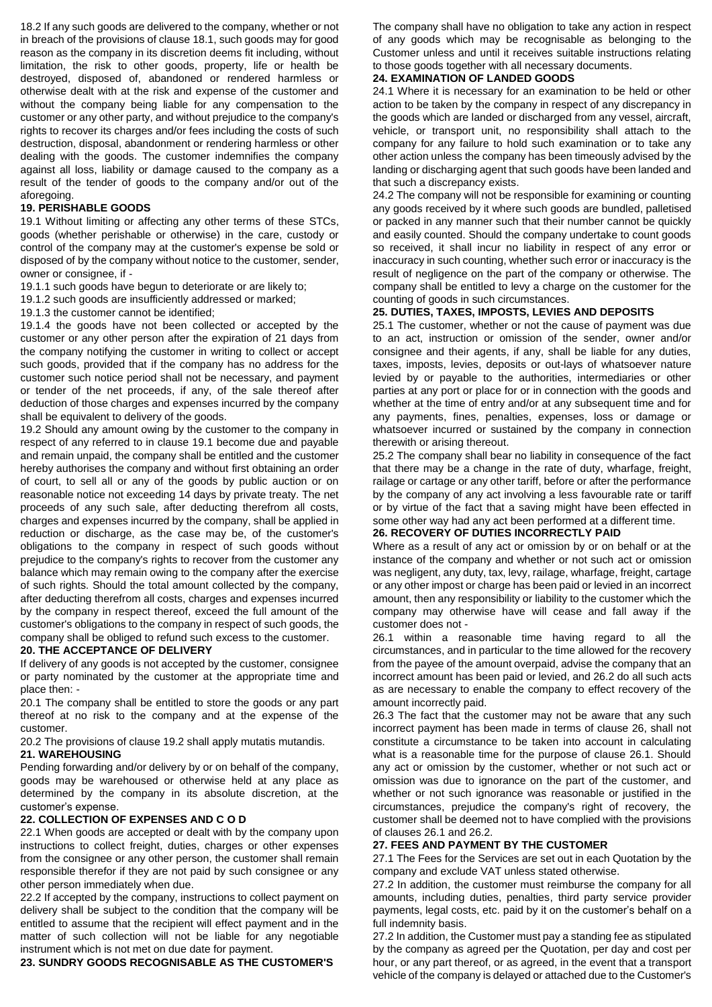18.2 If any such goods are delivered to the company, whether or not in breach of the provisions of clause 18.1, such goods may for good reason as the company in its discretion deems fit including, without limitation, the risk to other goods, property, life or health be destroyed, disposed of, abandoned or rendered harmless or otherwise dealt with at the risk and expense of the customer and without the company being liable for any compensation to the customer or any other party, and without prejudice to the company's rights to recover its charges and/or fees including the costs of such destruction, disposal, abandonment or rendering harmless or other dealing with the goods. The customer indemnifies the company against all loss, liability or damage caused to the company as a result of the tender of goods to the company and/or out of the aforegoing.

## **19. PERISHABLE GOODS**

19.1 Without limiting or affecting any other terms of these STCs, goods (whether perishable or otherwise) in the care, custody or control of the company may at the customer's expense be sold or disposed of by the company without notice to the customer, sender, owner or consignee, if -

- 19.1.1 such goods have begun to deteriorate or are likely to;
- 19.1.2 such goods are insufficiently addressed or marked;
- 19.1.3 the customer cannot be identified;

19.1.4 the goods have not been collected or accepted by the customer or any other person after the expiration of 21 days from the company notifying the customer in writing to collect or accept such goods, provided that if the company has no address for the customer such notice period shall not be necessary, and payment or tender of the net proceeds, if any, of the sale thereof after deduction of those charges and expenses incurred by the company shall be equivalent to delivery of the goods.

19.2 Should any amount owing by the customer to the company in respect of any referred to in clause 19.1 become due and payable and remain unpaid, the company shall be entitled and the customer hereby authorises the company and without first obtaining an order of court, to sell all or any of the goods by public auction or on reasonable notice not exceeding 14 days by private treaty. The net proceeds of any such sale, after deducting therefrom all costs, charges and expenses incurred by the company, shall be applied in reduction or discharge, as the case may be, of the customer's obligations to the company in respect of such goods without prejudice to the company's rights to recover from the customer any balance which may remain owing to the company after the exercise of such rights. Should the total amount collected by the company, after deducting therefrom all costs, charges and expenses incurred by the company in respect thereof, exceed the full amount of the customer's obligations to the company in respect of such goods, the company shall be obliged to refund such excess to the customer.

#### **20. THE ACCEPTANCE OF DELIVERY**

If delivery of any goods is not accepted by the customer, consignee or party nominated by the customer at the appropriate time and place then: -

20.1 The company shall be entitled to store the goods or any part thereof at no risk to the company and at the expense of the customer.

20.2 The provisions of clause 19.2 shall apply mutatis mutandis. **21. WAREHOUSING** 

Pending forwarding and/or delivery by or on behalf of the company, goods may be warehoused or otherwise held at any place as determined by the company in its absolute discretion, at the customer's expense.

## **22. COLLECTION OF EXPENSES AND C O D**

22.1 When goods are accepted or dealt with by the company upon instructions to collect freight, duties, charges or other expenses from the consignee or any other person, the customer shall remain responsible therefor if they are not paid by such consignee or any other person immediately when due.

22.2 If accepted by the company, instructions to collect payment on delivery shall be subject to the condition that the company will be entitled to assume that the recipient will effect payment and in the matter of such collection will not be liable for any negotiable instrument which is not met on due date for payment.

**23. SUNDRY GOODS RECOGNISABLE AS THE CUSTOMER'S** 

The company shall have no obligation to take any action in respect of any goods which may be recognisable as belonging to the Customer unless and until it receives suitable instructions relating to those goods together with all necessary documents.

## **24. EXAMINATION OF LANDED GOODS**

24.1 Where it is necessary for an examination to be held or other action to be taken by the company in respect of any discrepancy in the goods which are landed or discharged from any vessel, aircraft, vehicle, or transport unit, no responsibility shall attach to the company for any failure to hold such examination or to take any other action unless the company has been timeously advised by the landing or discharging agent that such goods have been landed and that such a discrepancy exists.

24.2 The company will not be responsible for examining or counting any goods received by it where such goods are bundled, palletised or packed in any manner such that their number cannot be quickly and easily counted. Should the company undertake to count goods so received, it shall incur no liability in respect of any error or inaccuracy in such counting, whether such error or inaccuracy is the result of negligence on the part of the company or otherwise. The company shall be entitled to levy a charge on the customer for the counting of goods in such circumstances.

#### **25. DUTIES, TAXES, IMPOSTS, LEVIES AND DEPOSITS**

25.1 The customer, whether or not the cause of payment was due to an act, instruction or omission of the sender, owner and/or consignee and their agents, if any, shall be liable for any duties, taxes, imposts, levies, deposits or out-lays of whatsoever nature levied by or payable to the authorities, intermediaries or other parties at any port or place for or in connection with the goods and whether at the time of entry and/or at any subsequent time and for any payments, fines, penalties, expenses, loss or damage or whatsoever incurred or sustained by the company in connection therewith or arising thereout.

25.2 The company shall bear no liability in consequence of the fact that there may be a change in the rate of duty, wharfage, freight, railage or cartage or any other tariff, before or after the performance by the company of any act involving a less favourable rate or tariff or by virtue of the fact that a saving might have been effected in some other way had any act been performed at a different time.

## **26. RECOVERY OF DUTIES INCORRECTLY PAID**

Where as a result of any act or omission by or on behalf or at the instance of the company and whether or not such act or omission was negligent, any duty, tax, levy, railage, wharfage, freight, cartage or any other impost or charge has been paid or levied in an incorrect amount, then any responsibility or liability to the customer which the company may otherwise have will cease and fall away if the customer does not -

26.1 within a reasonable time having regard to all the circumstances, and in particular to the time allowed for the recovery from the payee of the amount overpaid, advise the company that an incorrect amount has been paid or levied, and 26.2 do all such acts as are necessary to enable the company to effect recovery of the amount incorrectly paid.

26.3 The fact that the customer may not be aware that any such incorrect payment has been made in terms of clause 26, shall not constitute a circumstance to be taken into account in calculating what is a reasonable time for the purpose of clause 26.1. Should any act or omission by the customer, whether or not such act or omission was due to ignorance on the part of the customer, and whether or not such ignorance was reasonable or justified in the circumstances, prejudice the company's right of recovery, the customer shall be deemed not to have complied with the provisions of clauses 26.1 and 26.2.

#### **27. FEES AND PAYMENT BY THE CUSTOMER**

27.1 The Fees for the Services are set out in each Quotation by the company and exclude VAT unless stated otherwise.

27.2 In addition, the customer must reimburse the company for all amounts, including duties, penalties, third party service provider payments, legal costs, etc. paid by it on the customer's behalf on a full indemnity basis.

27.2 In addition, the Customer must pay a standing fee as stipulated by the company as agreed per the Quotation, per day and cost per hour, or any part thereof, or as agreed, in the event that a transport vehicle of the company is delayed or attached due to the Customer's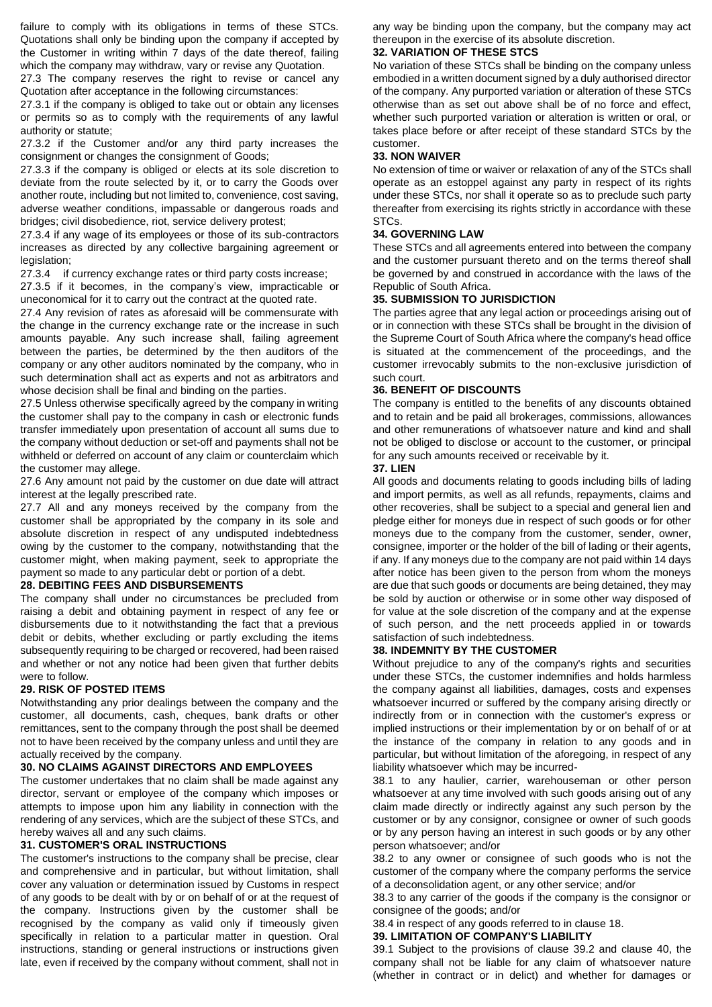failure to comply with its obligations in terms of these STCs. Quotations shall only be binding upon the company if accepted by the Customer in writing within 7 days of the date thereof, failing which the company may withdraw, vary or revise any Quotation.

27.3 The company reserves the right to revise or cancel any Quotation after acceptance in the following circumstances:

27.3.1 if the company is obliged to take out or obtain any licenses or permits so as to comply with the requirements of any lawful authority or statute;

27.3.2 if the Customer and/or any third party increases the consignment or changes the consignment of Goods;

27.3.3 if the company is obliged or elects at its sole discretion to deviate from the route selected by it, or to carry the Goods over another route, including but not limited to, convenience, cost saving, adverse weather conditions, impassable or dangerous roads and bridges; civil disobedience, riot, service delivery protest;

27.3.4 if any wage of its employees or those of its sub-contractors increases as directed by any collective bargaining agreement or legislation;

27.3.4 if currency exchange rates or third party costs increase;

27.3.5 if it becomes, in the company's view, impracticable or uneconomical for it to carry out the contract at the quoted rate.

27.4 Any revision of rates as aforesaid will be commensurate with the change in the currency exchange rate or the increase in such amounts payable. Any such increase shall, failing agreement between the parties, be determined by the then auditors of the company or any other auditors nominated by the company, who in such determination shall act as experts and not as arbitrators and whose decision shall be final and binding on the parties.

27.5 Unless otherwise specifically agreed by the company in writing the customer shall pay to the company in cash or electronic funds transfer immediately upon presentation of account all sums due to the company without deduction or set-off and payments shall not be withheld or deferred on account of any claim or counterclaim which the customer may allege.

27.6 Any amount not paid by the customer on due date will attract interest at the legally prescribed rate.

27.7 All and any moneys received by the company from the customer shall be appropriated by the company in its sole and absolute discretion in respect of any undisputed indebtedness owing by the customer to the company, notwithstanding that the customer might, when making payment, seek to appropriate the payment so made to any particular debt or portion of a debt.

## **28. DEBITING FEES AND DISBURSEMENTS**

The company shall under no circumstances be precluded from raising a debit and obtaining payment in respect of any fee or disbursements due to it notwithstanding the fact that a previous debit or debits, whether excluding or partly excluding the items subsequently requiring to be charged or recovered, had been raised and whether or not any notice had been given that further debits were to follow.

#### **29. RISK OF POSTED ITEMS**

Notwithstanding any prior dealings between the company and the customer, all documents, cash, cheques, bank drafts or other remittances, sent to the company through the post shall be deemed not to have been received by the company unless and until they are actually received by the company.

#### **30. NO CLAIMS AGAINST DIRECTORS AND EMPLOYEES**

The customer undertakes that no claim shall be made against any director, servant or employee of the company which imposes or attempts to impose upon him any liability in connection with the rendering of any services, which are the subject of these STCs, and hereby waives all and any such claims.

## **31. CUSTOMER'S ORAL INSTRUCTIONS**

The customer's instructions to the company shall be precise, clear and comprehensive and in particular, but without limitation, shall cover any valuation or determination issued by Customs in respect of any goods to be dealt with by or on behalf of or at the request of the company. Instructions given by the customer shall be recognised by the company as valid only if timeously given specifically in relation to a particular matter in question. Oral instructions, standing or general instructions or instructions given late, even if received by the company without comment, shall not in any way be binding upon the company, but the company may act thereupon in the exercise of its absolute discretion.

## **32. VARIATION OF THESE STCS**

No variation of these STCs shall be binding on the company unless embodied in a written document signed by a duly authorised director of the company. Any purported variation or alteration of these STCs otherwise than as set out above shall be of no force and effect, whether such purported variation or alteration is written or oral, or takes place before or after receipt of these standard STCs by the customer.

### **33. NON WAIVER**

No extension of time or waiver or relaxation of any of the STCs shall operate as an estoppel against any party in respect of its rights under these STCs, nor shall it operate so as to preclude such party thereafter from exercising its rights strictly in accordance with these STCs.

## **34. GOVERNING LAW**

These STCs and all agreements entered into between the company and the customer pursuant thereto and on the terms thereof shall be governed by and construed in accordance with the laws of the Republic of South Africa.

## **35. SUBMISSION TO JURISDICTION**

The parties agree that any legal action or proceedings arising out of or in connection with these STCs shall be brought in the division of the Supreme Court of South Africa where the company's head office is situated at the commencement of the proceedings, and the customer irrevocably submits to the non-exclusive jurisdiction of such court.

#### **36. BENEFIT OF DISCOUNTS**

The company is entitled to the benefits of any discounts obtained and to retain and be paid all brokerages, commissions, allowances and other remunerations of whatsoever nature and kind and shall not be obliged to disclose or account to the customer, or principal for any such amounts received or receivable by it.

#### **37. LIEN**

All goods and documents relating to goods including bills of lading and import permits, as well as all refunds, repayments, claims and other recoveries, shall be subject to a special and general lien and pledge either for moneys due in respect of such goods or for other moneys due to the company from the customer, sender, owner, consignee, importer or the holder of the bill of lading or their agents, if any. If any moneys due to the company are not paid within 14 days after notice has been given to the person from whom the moneys are due that such goods or documents are being detained, they may be sold by auction or otherwise or in some other way disposed of for value at the sole discretion of the company and at the expense of such person, and the nett proceeds applied in or towards satisfaction of such indebtedness.

#### **38. INDEMNITY BY THE CUSTOMER**

Without prejudice to any of the company's rights and securities under these STCs, the customer indemnifies and holds harmless the company against all liabilities, damages, costs and expenses whatsoever incurred or suffered by the company arising directly or indirectly from or in connection with the customer's express or implied instructions or their implementation by or on behalf of or at the instance of the company in relation to any goods and in particular, but without limitation of the aforegoing, in respect of any liability whatsoever which may be incurred-

38.1 to any haulier, carrier, warehouseman or other person whatsoever at any time involved with such goods arising out of any claim made directly or indirectly against any such person by the customer or by any consignor, consignee or owner of such goods or by any person having an interest in such goods or by any other person whatsoever; and/or

38.2 to any owner or consignee of such goods who is not the customer of the company where the company performs the service of a deconsolidation agent, or any other service; and/or

38.3 to any carrier of the goods if the company is the consignor or consignee of the goods; and/or

# 38.4 in respect of any goods referred to in clause 18.

## **39. LIMITATION OF COMPANY'S LIABILITY**

39.1 Subject to the provisions of clause 39.2 and clause 40, the company shall not be liable for any claim of whatsoever nature (whether in contract or in delict) and whether for damages or